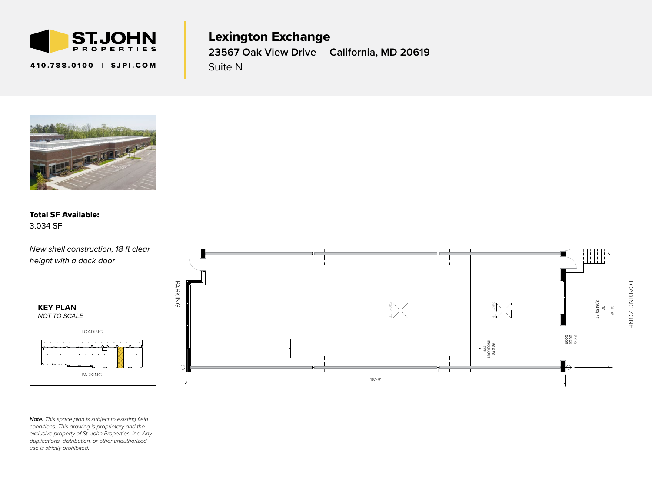

410.788.0100 | SJPI.COM

Lexington Exchange **23567 Oak View Drive | California, MD 20619** Suite N



## 23<br>C l<br>4 Total SF Available: 3,034 SF

 $\frac{t}{\sqrt{2}}$ *New shell construction, 18 ft clear height with a dock door*



 $conditions.$  This drawing is proprietary and the duplications, distribution, or other unauthorized n<br>Ch<br>P *Note: This space plan is subject to existing field exclusive property of St. John Properties, Inc. Any use is strictly prohibited.*